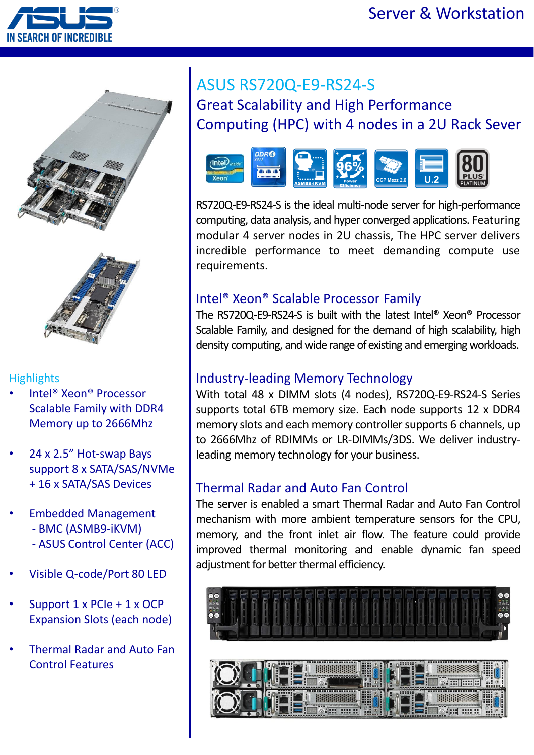





#### **Highlights**

- Intel® Xeon® Processor Scalable Family with DDR4 Memory up to 2666Mhz
- 24 x 2.5" Hot-swap Bays support 8 x SATA/SAS/NVMe + 16 x SATA/SAS Devices
- Embedded Management - BMC (ASMB9-iKVM) - ASUS Control Center (ACC)
- Visible Q-code/Port 80 LED
- Support 1 x PCIe + 1 x OCP Expansion Slots (each node)
- Thermal Radar and Auto Fan Control Features

# ASUS RS720Q-E9-RS24-S Great Scalability and High Performance Computing (HPC) with 4 nodes in a 2U Rack Sever



RS720Q-E9-RS24-S is the ideal multi-node server for high-performance computing, data analysis, and hyper converged applications. Featuring modular 4 server nodes in 2U chassis, The HPC server delivers incredible performance to meet demanding compute use requirements.

### Intel® Xeon® Scalable Processor Family

The RS720Q-E9-RS24-S is built with the latest Intel® Xeon® Processor Scalable Family, and designed for the demand of high scalability, high density computing, and wide range of existing and emerging workloads.

#### Industry-leading Memory Technology

With total 48 x DIMM slots (4 nodes), RS720Q-E9-RS24-S Series supports total 6TB memory size. Each node supports 12 x DDR4 memory slots and each memory controller supports 6 channels, up to 2666Mhz of RDIMMs or LR-DIMMs/3DS. We deliver industryleading memory technology for your business.

#### Thermal Radar and Auto Fan Control

The server is enabled a smart Thermal Radar and Auto Fan Control mechanism with more ambient temperature sensors for the CPU, memory, and the front inlet air flow. The feature could provide improved thermal monitoring and enable dynamic fan speed adjustment for better thermal efficiency.